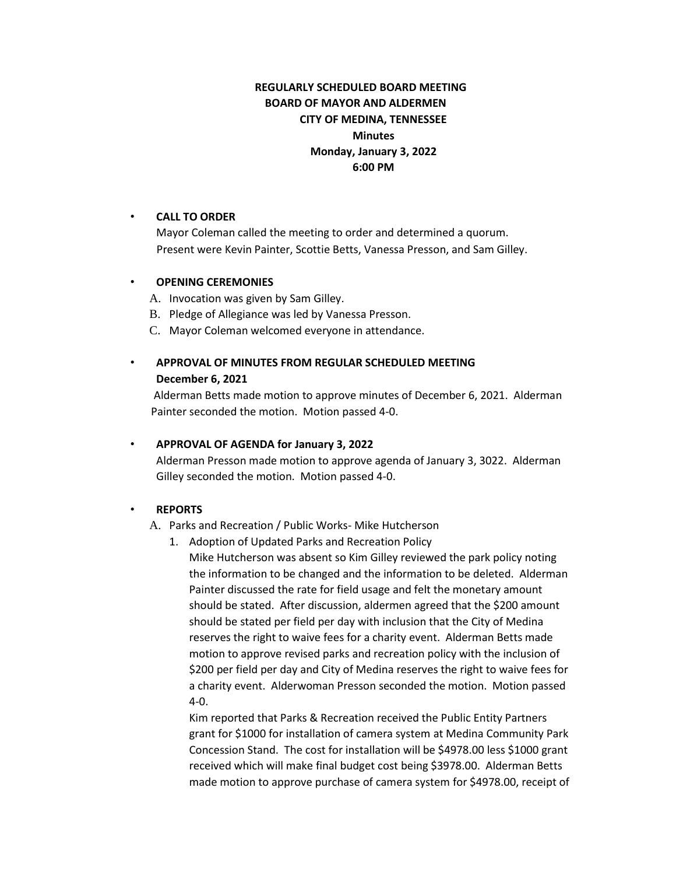# **REGULARLY SCHEDULED BOARD MEETING BOARD OF MAYOR AND ALDERMEN CITY OF MEDINA, TENNESSEE Minutes Monday, January 3, 2022 6:00 PM**

### • **CALL TO ORDER**

Mayor Coleman called the meeting to order and determined a quorum. Present were Kevin Painter, Scottie Betts, Vanessa Presson, and Sam Gilley.

### • **OPENING CEREMONIES**

- A. Invocation was given by Sam Gilley.
- B. Pledge of Allegiance was led by Vanessa Presson.
- C. Mayor Coleman welcomed everyone in attendance.
- **APPROVAL OF MINUTES FROM REGULAR SCHEDULED MEETING December 6, 2021**

Alderman Betts made motion to approve minutes of December 6, 2021. Alderman Painter seconded the motion. Motion passed 4-0.

# • **APPROVAL OF AGENDA for January 3, 2022**

Alderman Presson made motion to approve agenda of January 3, 3022. Alderman Gilley seconded the motion. Motion passed 4-0.

# • **REPORTS**

A. Parks and Recreation / Public Works- Mike Hutcherson

1. Adoption of Updated Parks and Recreation Policy

Mike Hutcherson was absent so Kim Gilley reviewed the park policy noting the information to be changed and the information to be deleted. Alderman Painter discussed the rate for field usage and felt the monetary amount should be stated. After discussion, aldermen agreed that the \$200 amount should be stated per field per day with inclusion that the City of Medina reserves the right to waive fees for a charity event. Alderman Betts made motion to approve revised parks and recreation policy with the inclusion of \$200 per field per day and City of Medina reserves the right to waive fees for a charity event. Alderwoman Presson seconded the motion. Motion passed 4-0.

Kim reported that Parks & Recreation received the Public Entity Partners grant for \$1000 for installation of camera system at Medina Community Park Concession Stand. The cost for installation will be \$4978.00 less \$1000 grant received which will make final budget cost being \$3978.00. Alderman Betts made motion to approve purchase of camera system for \$4978.00, receipt of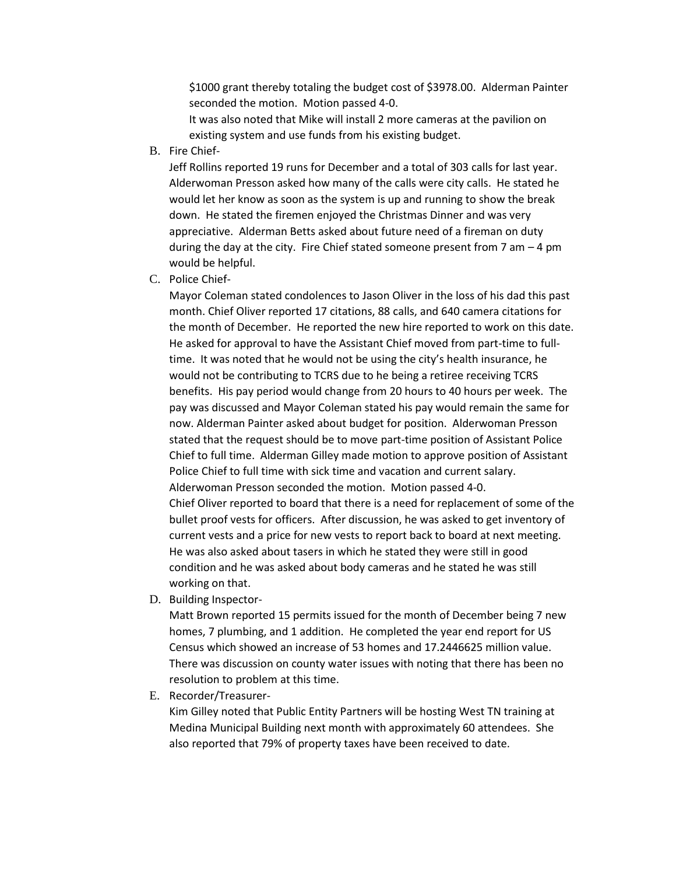\$1000 grant thereby totaling the budget cost of \$3978.00. Alderman Painter seconded the motion. Motion passed 4-0.

It was also noted that Mike will install 2 more cameras at the pavilion on existing system and use funds from his existing budget.

B. Fire Chief-

Jeff Rollins reported 19 runs for December and a total of 303 calls for last year. Alderwoman Presson asked how many of the calls were city calls. He stated he would let her know as soon as the system is up and running to show the break down. He stated the firemen enjoyed the Christmas Dinner and was very appreciative. Alderman Betts asked about future need of a fireman on duty during the day at the city. Fire Chief stated someone present from 7 am – 4 pm would be helpful.

C. Police Chief-

Mayor Coleman stated condolences to Jason Oliver in the loss of his dad this past month. Chief Oliver reported 17 citations, 88 calls, and 640 camera citations for the month of December. He reported the new hire reported to work on this date. He asked for approval to have the Assistant Chief moved from part-time to fulltime. It was noted that he would not be using the city's health insurance, he would not be contributing to TCRS due to he being a retiree receiving TCRS benefits. His pay period would change from 20 hours to 40 hours per week. The pay was discussed and Mayor Coleman stated his pay would remain the same for now. Alderman Painter asked about budget for position. Alderwoman Presson stated that the request should be to move part-time position of Assistant Police Chief to full time. Alderman Gilley made motion to approve position of Assistant Police Chief to full time with sick time and vacation and current salary. Alderwoman Presson seconded the motion. Motion passed 4-0. Chief Oliver reported to board that there is a need for replacement of some of the bullet proof vests for officers. After discussion, he was asked to get inventory of current vests and a price for new vests to report back to board at next meeting. He was also asked about tasers in which he stated they were still in good condition and he was asked about body cameras and he stated he was still working on that.

D. Building Inspector-

Matt Brown reported 15 permits issued for the month of December being 7 new homes, 7 plumbing, and 1 addition. He completed the year end report for US Census which showed an increase of 53 homes and 17.2446625 million value. There was discussion on county water issues with noting that there has been no resolution to problem at this time.

E. Recorder/Treasurer-

Kim Gilley noted that Public Entity Partners will be hosting West TN training at Medina Municipal Building next month with approximately 60 attendees. She also reported that 79% of property taxes have been received to date.